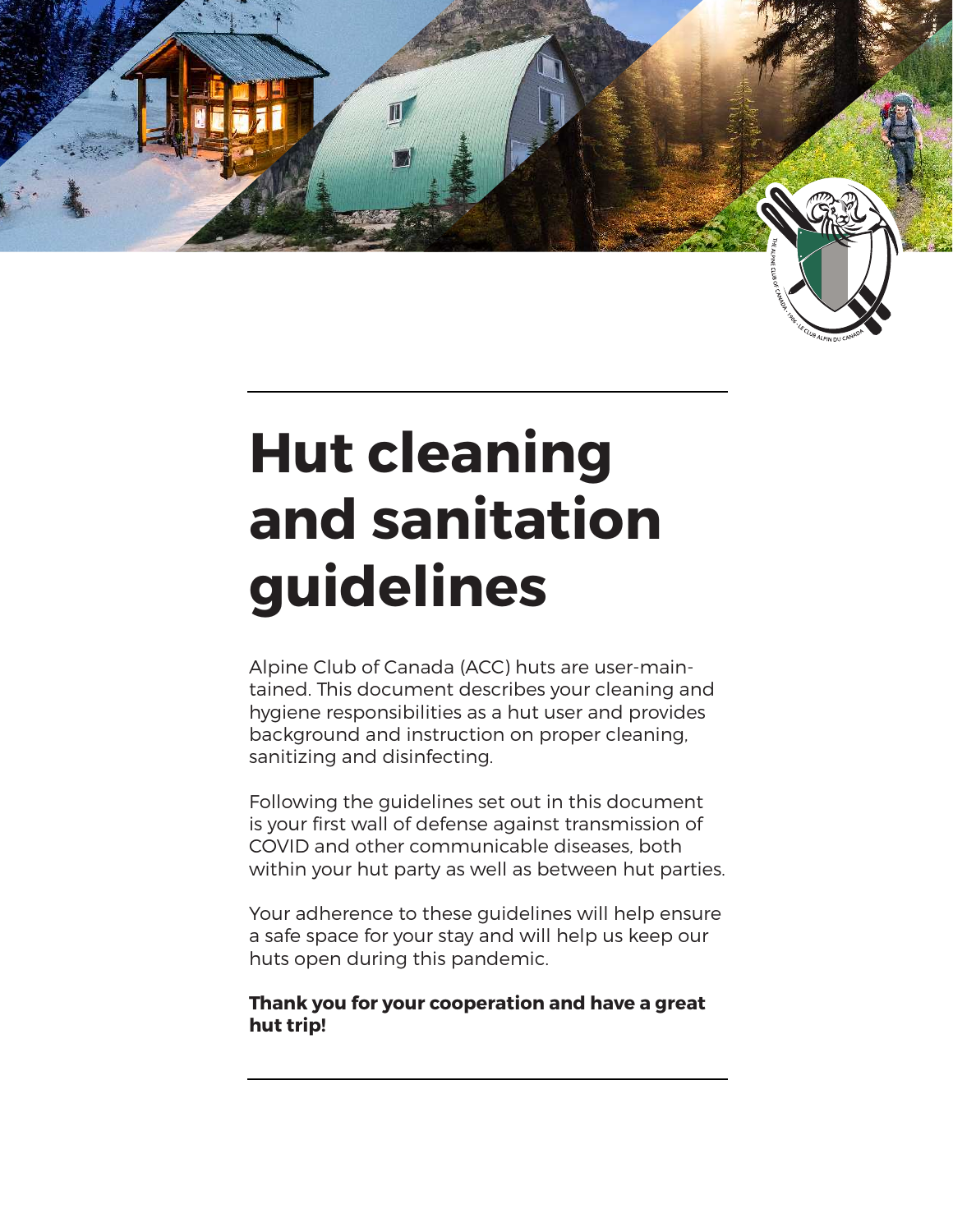

# **Hut cleaning and sanitation guidelines**

Alpine Club of Canada (ACC) huts are user-maintained. This document describes your cleaning and hygiene responsibilities as a hut user and provides background and instruction on proper cleaning, sanitizing and disinfecting.

Following the guidelines set out in this document is your first wall of defense against transmission of COVID and other communicable diseases, both within your hut party as well as between hut parties.

Your adherence to these guidelines will help ensure a safe space for your stay and will help us keep our huts open during this pandemic.

**Thank you for your cooperation and have a great hut trip!**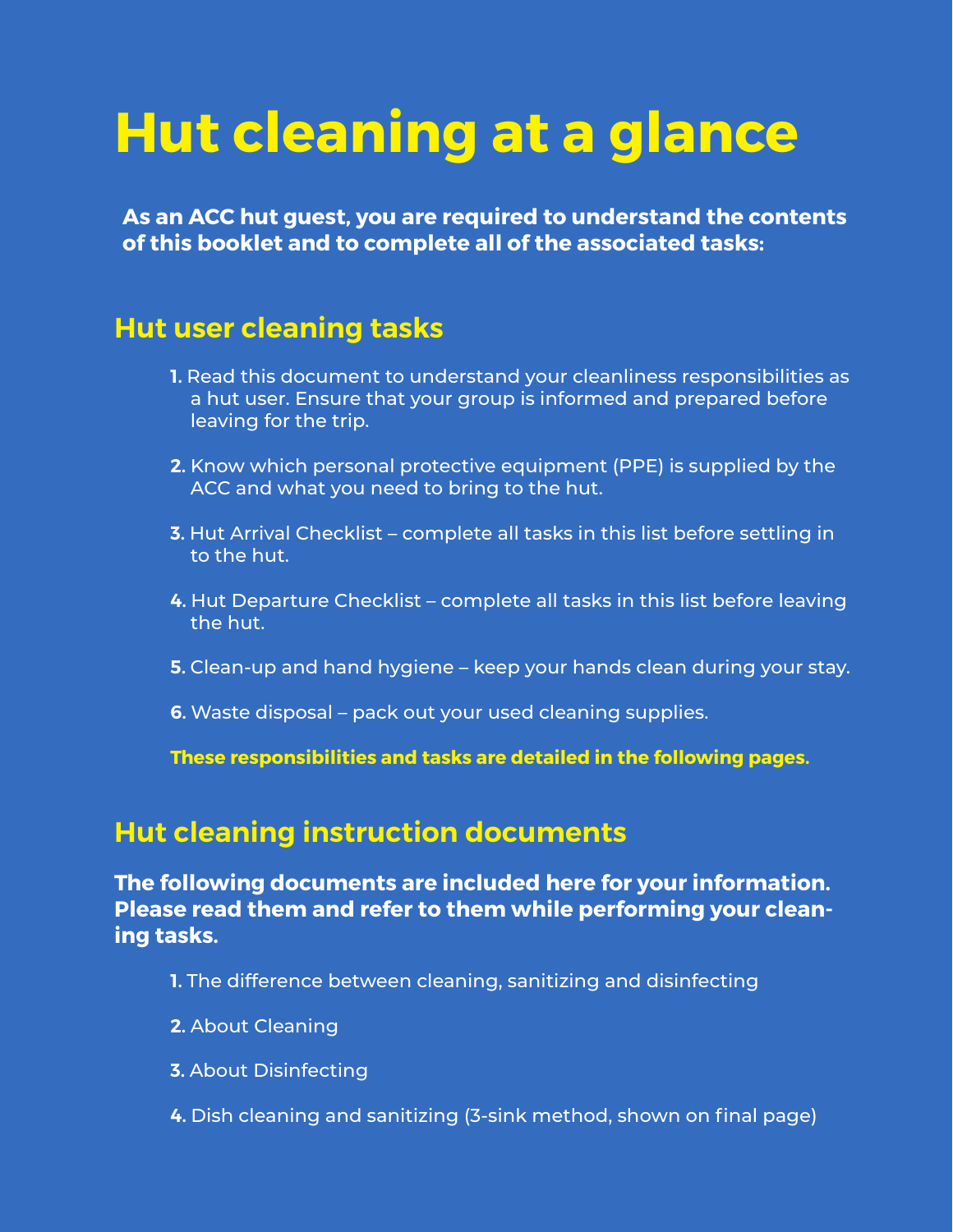# **Hut cleaning at a glance**

**As an ACC hut guest, you are required to understand the contents of this booklet and to complete all of the associated tasks:**

### **Hut user cleaning tasks**

- **1.** Read this document to understand your cleanliness responsibilities as a hut user. Ensure that your group is informed and prepared before leaving for the trip.
- **2.** Know which personal protective equipment (PPE) is supplied by the ACC and what you need to bring to the hut.
- **3.** Hut Arrival Checklist complete all tasks in this list before settling in to the hut.
- **4.** Hut Departure Checklist complete all tasks in this list before leaving the hut.
- **5.** Clean-up and hand hygiene keep your hands clean during your stay.
- **6.** Waste disposal pack out your used cleaning supplies.

**These responsibilities and tasks are detailed in the following pages.**

### **Hut cleaning instruction documents**

**The following documents are included here for your information. Please read them and refer to them while performing your cleaning tasks.**

- **1.** The difference between cleaning, sanitizing and disinfecting
- **2.** About Cleaning
- **3.** About Disinfecting
- **4.** Dish cleaning and sanitizing (3-sink method, shown on final page)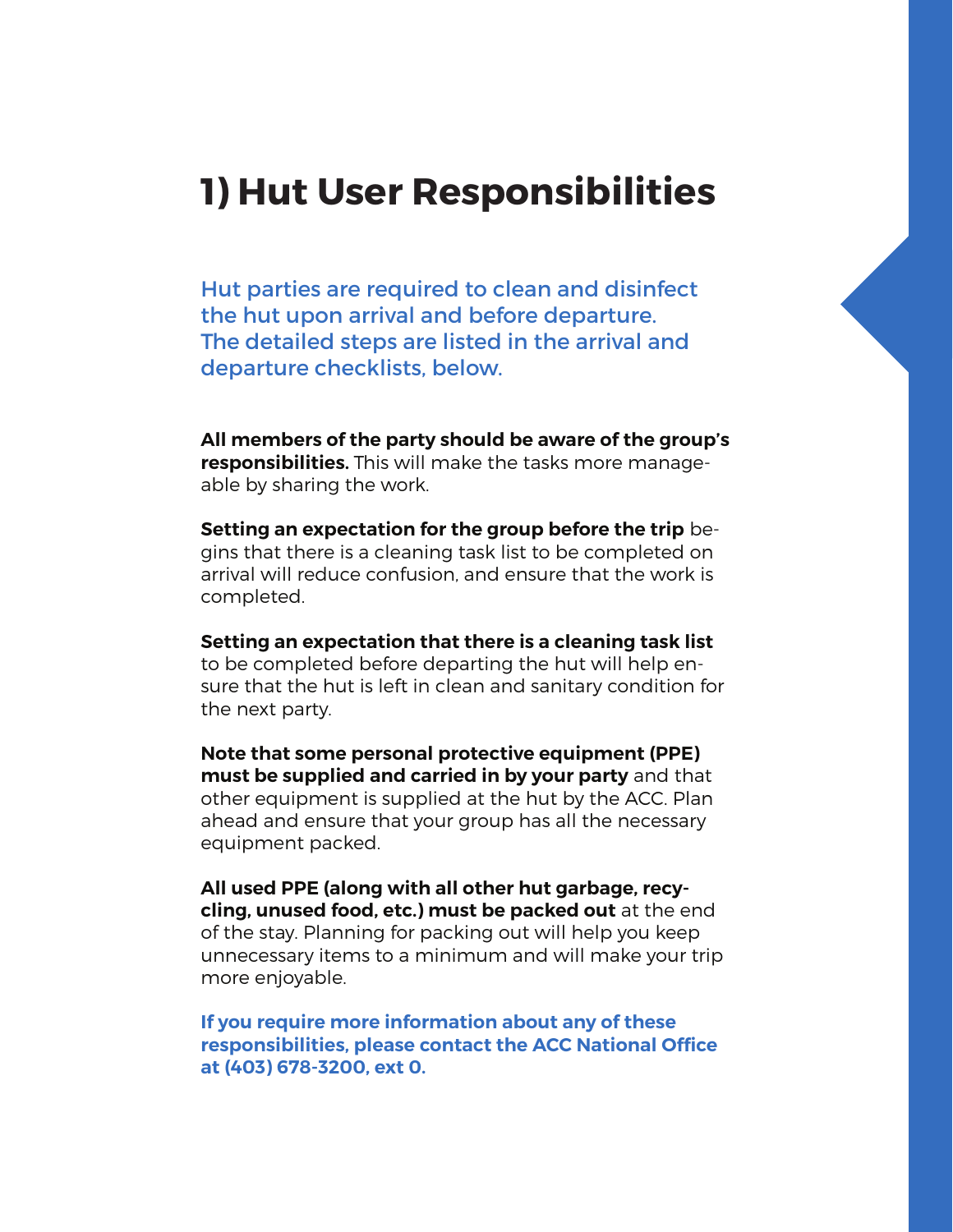### **1) Hut User Responsibilities**

Hut parties are required to clean and disinfect the hut upon arrival and before departure. The detailed steps are listed in the arrival and departure checklists, below.

**All members of the party should be aware of the group's responsibilities.** This will make the tasks more manageable by sharing the work.

**Setting an expectation for the group before the trip** begins that there is a cleaning task list to be completed on arrival will reduce confusion, and ensure that the work is completed.

**Setting an expectation that there is a cleaning task list**  to be completed before departing the hut will help ensure that the hut is left in clean and sanitary condition for the next party.

**Note that some personal protective equipment (PPE) must be supplied and carried in by your party** and that other equipment is supplied at the hut by the ACC. Plan ahead and ensure that your group has all the necessary equipment packed.

**All used PPE (along with all other hut garbage, recycling, unused food, etc.) must be packed out** at the end of the stay. Planning for packing out will help you keep unnecessary items to a minimum and will make your trip more enjoyable.

**If you require more information about any of these responsibilities, please contact the ACC National Office at (403) 678-3200, ext 0.**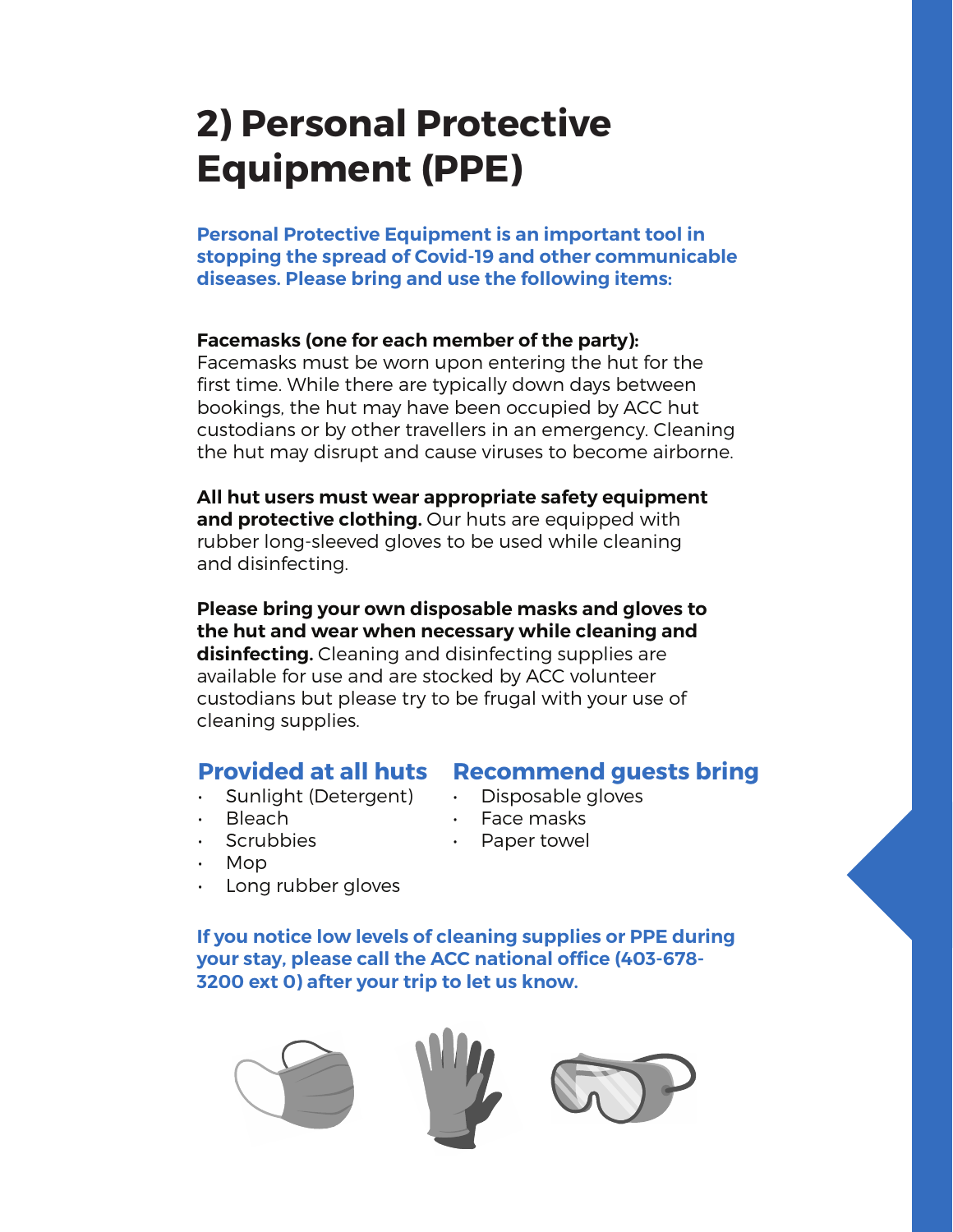## **2) Personal Protective Equipment (PPE)**

**Personal Protective Equipment is an important tool in stopping the spread of Covid-19 and other communicable diseases. Please bring and use the following items:**

#### **Facemasks (one for each member of the party):**

Facemasks must be worn upon entering the hut for the first time. While there are typically down days between bookings, the hut may have been occupied by ACC hut custodians or by other travellers in an emergency. Cleaning the hut may disrupt and cause viruses to become airborne.

**All hut users must wear appropriate safety equipment and protective clothing.** Our huts are equipped with rubber long-sleeved gloves to be used while cleaning and disinfecting.

**Please bring your own disposable masks and gloves to the hut and wear when necessary while cleaning and disinfecting.** Cleaning and disinfecting supplies are available for use and are stocked by ACC volunteer custodians but please try to be frugal with your use of cleaning supplies.

#### **Provided at all huts**

- Sunlight (Detergent)
	- Bleach
- Scrubbies
- Mop
- Long rubber gloves

**If you notice low levels of cleaning supplies or PPE during your stay, please call the ACC national office (403-678- 3200 ext 0) after your trip to let us know.**



#### **Recommend guests bring**

- Disposable gloves
- Face masks
- Paper towel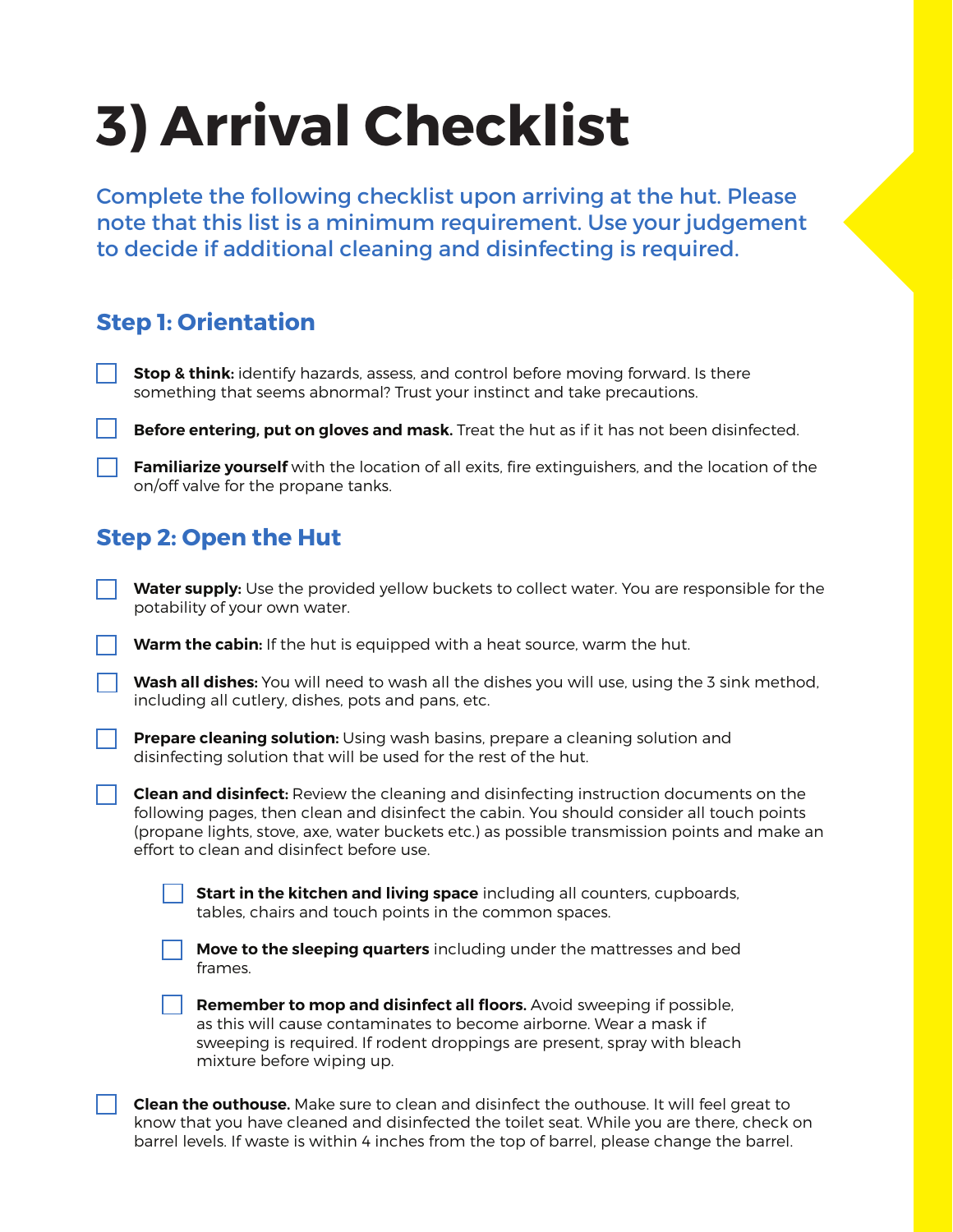# **3) Arrival Checklist**

Complete the following checklist upon arriving at the hut. Please note that this list is a minimum requirement. Use your judgement to decide if additional cleaning and disinfecting is required.

#### **Step 1: Orientation**

**Stop & think:** identify hazards, assess, and control before moving forward. Is there something that seems abnormal? Trust your instinct and take precautions.

**Before entering, put on gloves and mask.** Treat the hut as if it has not been disinfected.

**Familiarize yourself** with the location of all exits, fire extinguishers, and the location of the on/off valve for the propane tanks.

#### **Step 2: Open the Hut**

**Water supply:** Use the provided yellow buckets to collect water. You are responsible for the potability of your own water.

**Warm the cabin:** If the hut is equipped with a heat source, warm the hut.

**Wash all dishes:** You will need to wash all the dishes you will use, using the 3 sink method, including all cutlery, dishes, pots and pans, etc.

**Prepare cleaning solution:** Using wash basins, prepare a cleaning solution and disinfecting solution that will be used for the rest of the hut.

**Clean and disinfect:** Review the cleaning and disinfecting instruction documents on the following pages, then clean and disinfect the cabin. You should consider all touch points (propane lights, stove, axe, water buckets etc.) as possible transmission points and make an effort to clean and disinfect before use.

**Start in the kitchen and living space** including all counters, cupboards, tables, chairs and touch points in the common spaces.



**Move to the sleeping quarters** including under the mattresses and bed frames.

**Remember to mop and disinfect all floors.** Avoid sweeping if possible, as this will cause contaminates to become airborne. Wear a mask if sweeping is required. If rodent droppings are present, spray with bleach mixture before wiping up.

**Clean the outhouse.** Make sure to clean and disinfect the outhouse. It will feel great to know that you have cleaned and disinfected the toilet seat. While you are there, check on barrel levels. If waste is within 4 inches from the top of barrel, please change the barrel.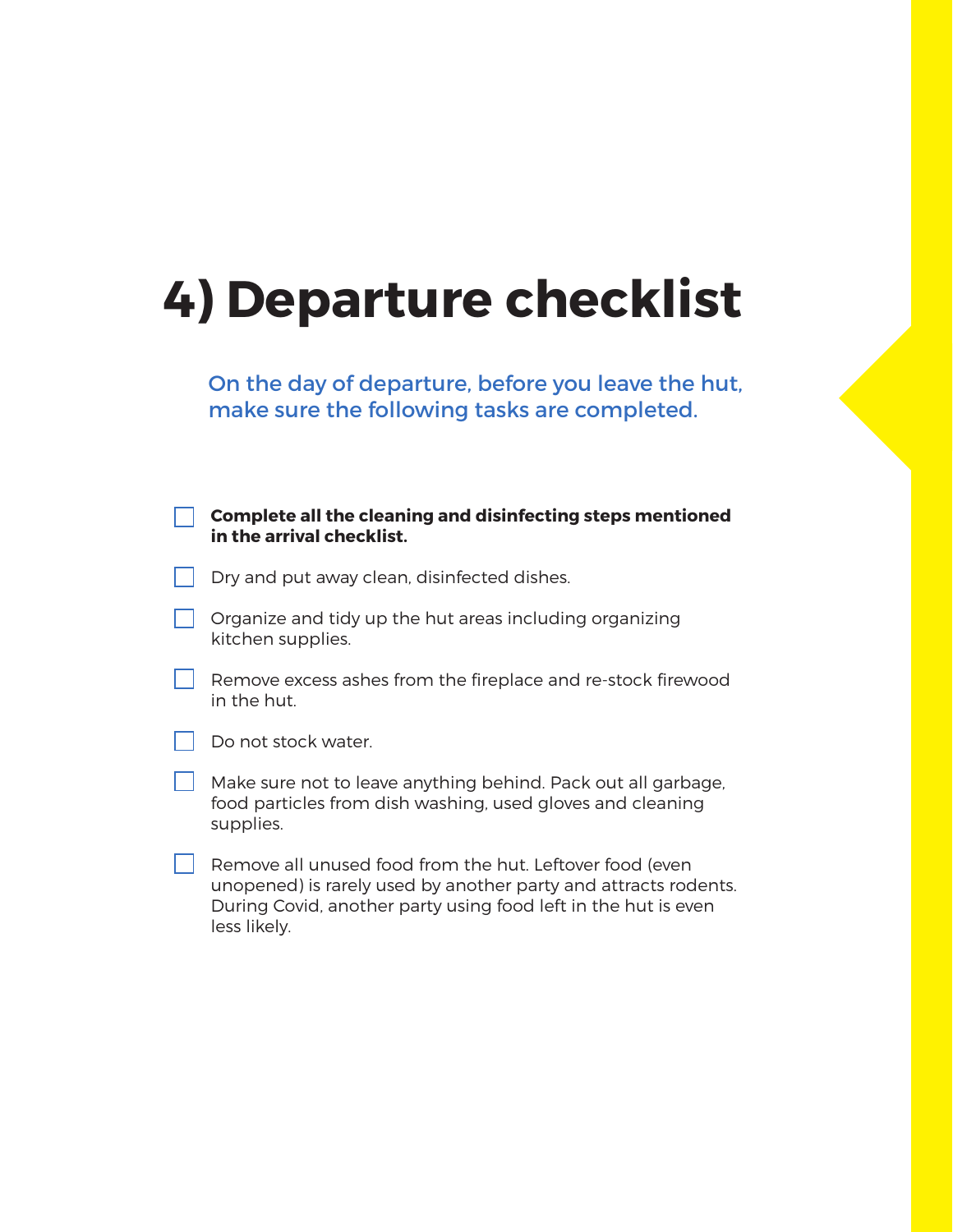## **4) Departure checklist**

On the day of departure, before you leave the hut, make sure the following tasks are completed.

| <b>Complete all the cleaning and disinfecting steps mentioned</b><br>in the arrival checklist.                                                                                                                |
|---------------------------------------------------------------------------------------------------------------------------------------------------------------------------------------------------------------|
| Dry and put away clean, disinfected dishes.                                                                                                                                                                   |
| Organize and tidy up the hut areas including organizing<br>kitchen supplies.                                                                                                                                  |
| Remove excess ashes from the fireplace and re-stock firewood<br>in the hut.                                                                                                                                   |
| Do not stock water.                                                                                                                                                                                           |
| Make sure not to leave anything behind. Pack out all garbage,<br>food particles from dish washing, used gloves and cleaning<br>supplies.                                                                      |
| Remove all unused food from the hut. Leftover food (even<br>unopened) is rarely used by another party and attracts rodents.<br>During Covid, another party using food left in the hut is even<br>less likely. |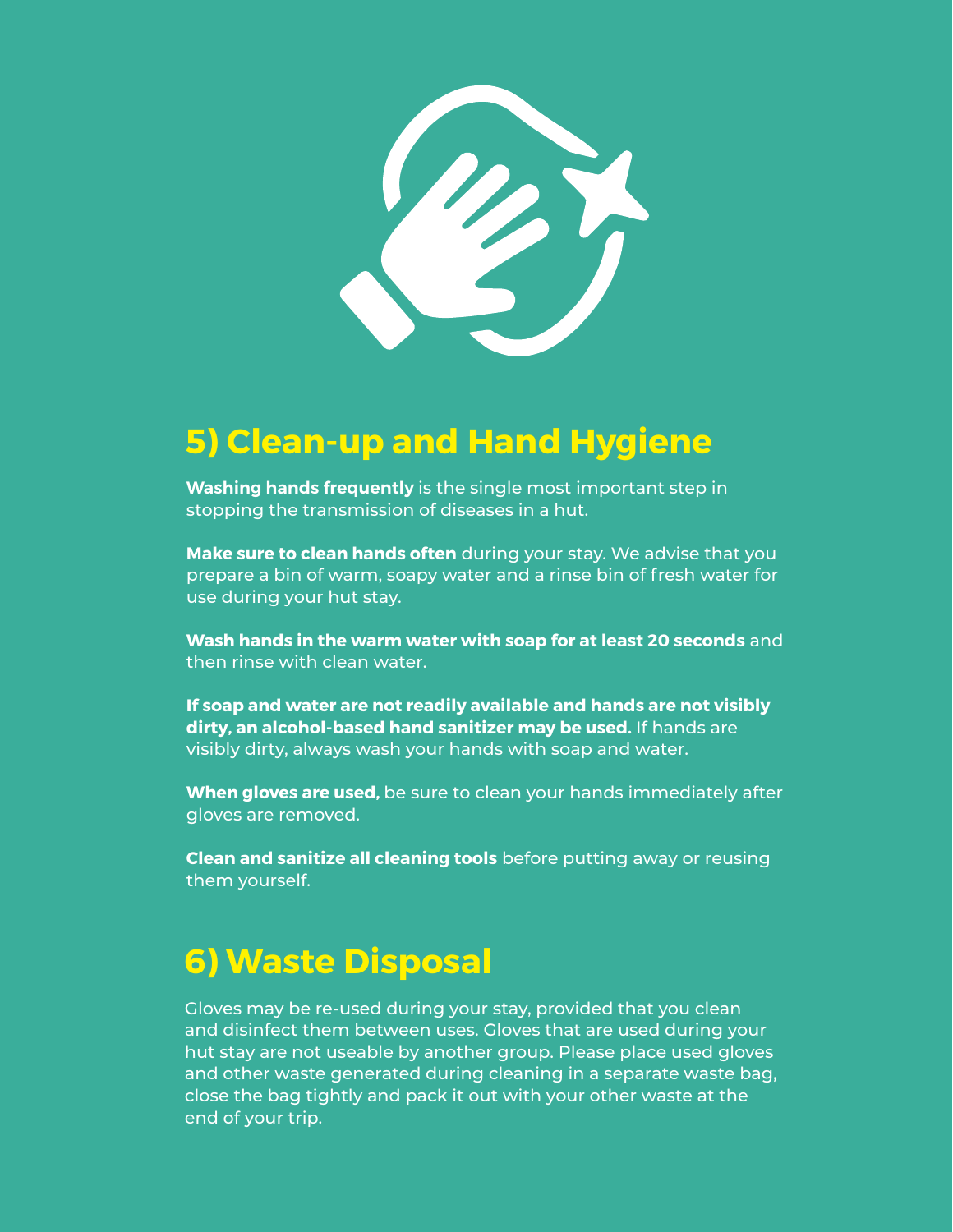

### **5) Clean-up and Hand Hygiene**

**Washing hands frequently** is the single most important step in stopping the transmission of diseases in a hut.

**Make sure to clean hands often** during your stay. We advise that you prepare a bin of warm, soapy water and a rinse bin of fresh water for use during your hut stay.

**Wash hands in the warm water with soap for at least 20 seconds** and then rinse with clean water.

**If soap and water are not readily available and hands are not visibly dirty, an alcohol-based hand sanitizer may be used.** If hands are visibly dirty, always wash your hands with soap and water.

**When gloves are used,** be sure to clean your hands immediately after gloves are removed.

**Clean and sanitize all cleaning tools** before putting away or reusing them yourself.

### **6) Waste Disposal**

Gloves may be re-used during your stay, provided that you clean and disinfect them between uses. Gloves that are used during your hut stay are not useable by another group. Please place used gloves and other waste generated during cleaning in a separate waste bag, close the bag tightly and pack it out with your other waste at the end of your trip.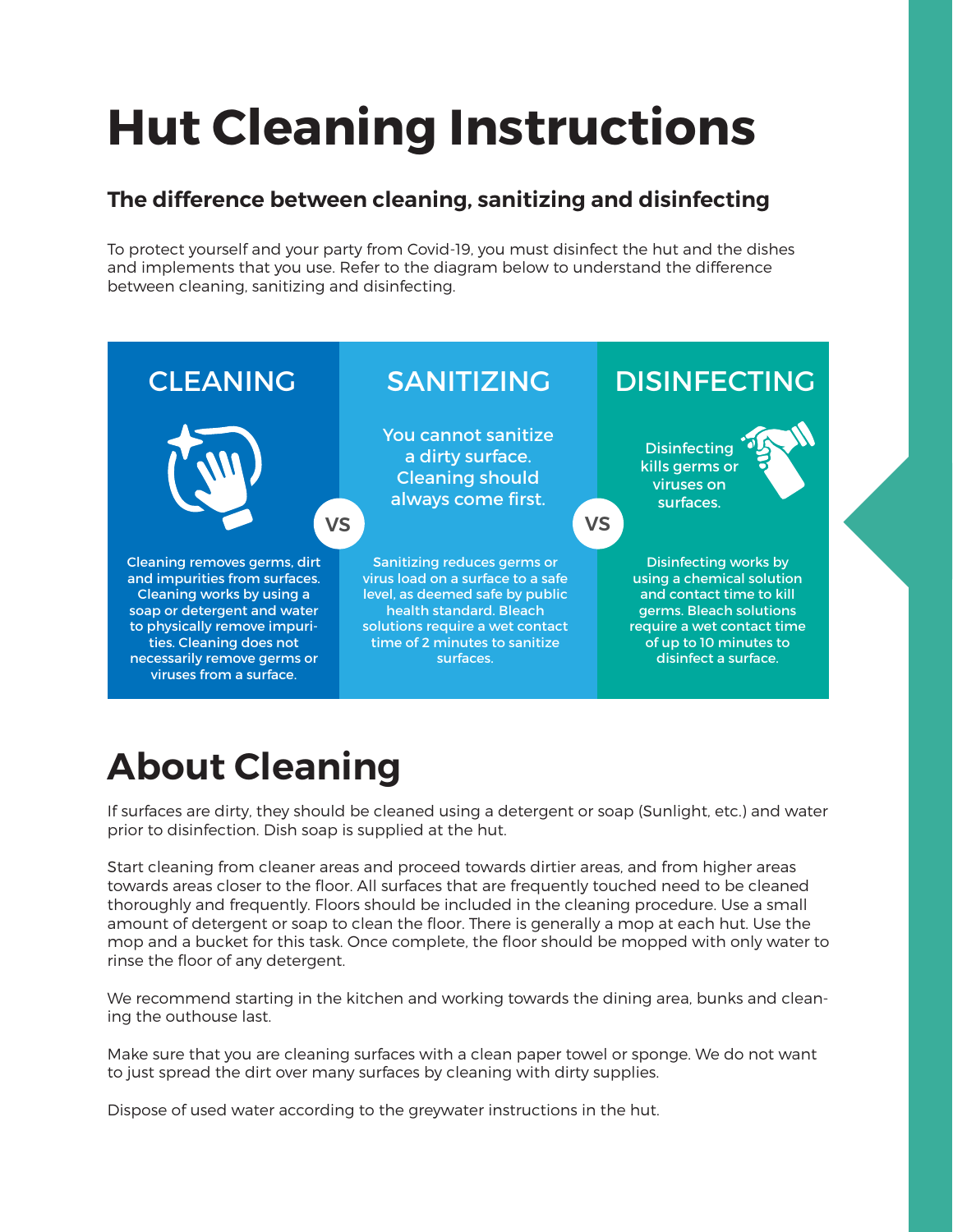# **Hut Cleaning Instructions**

#### **The difference between cleaning, sanitizing and disinfecting**

To protect yourself and your party from Covid-19, you must disinfect the hut and the dishes and implements that you use. Refer to the diagram below to understand the difference between cleaning, sanitizing and disinfecting.



## **About Cleaning**

If surfaces are dirty, they should be cleaned using a detergent or soap (Sunlight, etc.) and water prior to disinfection. Dish soap is supplied at the hut.

Start cleaning from cleaner areas and proceed towards dirtier areas, and from higher areas towards areas closer to the floor. All surfaces that are frequently touched need to be cleaned thoroughly and frequently. Floors should be included in the cleaning procedure. Use a small amount of detergent or soap to clean the floor. There is generally a mop at each hut. Use the mop and a bucket for this task. Once complete, the floor should be mopped with only water to rinse the floor of any detergent.

We recommend starting in the kitchen and working towards the dining area, bunks and cleaning the outhouse last.

Make sure that you are cleaning surfaces with a clean paper towel or sponge. We do not want to just spread the dirt over many surfaces by cleaning with dirty supplies.

Dispose of used water according to the greywater instructions in the hut.